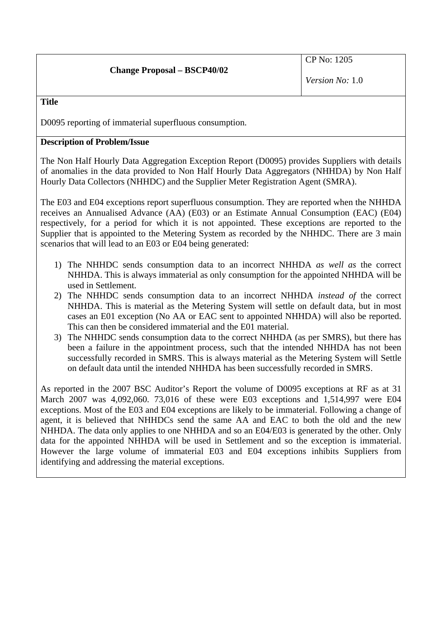**Title** 

D0095 reporting of immaterial superfluous consumption.

# **Description of Problem/Issue**

The Non Half Hourly Data Aggregation Exception Report (D0095) provides Suppliers with details of anomalies in the data provided to Non Half Hourly Data Aggregators (NHHDA) by Non Half Hourly Data Collectors (NHHDC) and the Supplier Meter Registration Agent (SMRA).

The E03 and E04 exceptions report superfluous consumption. They are reported when the NHHDA receives an Annualised Advance (AA) (E03) or an Estimate Annual Consumption (EAC) (E04) respectively, for a period for which it is not appointed. These exceptions are reported to the Supplier that is appointed to the Metering System as recorded by the NHHDC. There are 3 main scenarios that will lead to an E03 or E04 being generated:

- 1) The NHHDC sends consumption data to an incorrect NHHDA *as well as* the correct NHHDA. This is always immaterial as only consumption for the appointed NHHDA will be used in Settlement.
- 2) The NHHDC sends consumption data to an incorrect NHHDA *instead of* the correct NHHDA. This is material as the Metering System will settle on default data, but in most cases an E01 exception (No AA or EAC sent to appointed NHHDA) will also be reported. This can then be considered immaterial and the E01 material.
- 3) The NHHDC sends consumption data to the correct NHHDA (as per SMRS), but there has been a failure in the appointment process, such that the intended NHHDA has not been successfully recorded in SMRS. This is always material as the Metering System will Settle on default data until the intended NHHDA has been successfully recorded in SMRS.

As reported in the 2007 BSC Auditor's Report the volume of D0095 exceptions at RF as at 31 March 2007 was 4,092,060. 73,016 of these were E03 exceptions and 1,514,997 were E04 exceptions. Most of the E03 and E04 exceptions are likely to be immaterial. Following a change of agent, it is believed that NHHDCs send the same AA and EAC to both the old and the new NHHDA. The data only applies to one NHHDA and so an E04/E03 is generated by the other. Only data for the appointed NHHDA will be used in Settlement and so the exception is immaterial. However the large volume of immaterial E03 and E04 exceptions inhibits Suppliers from identifying and addressing the material exceptions.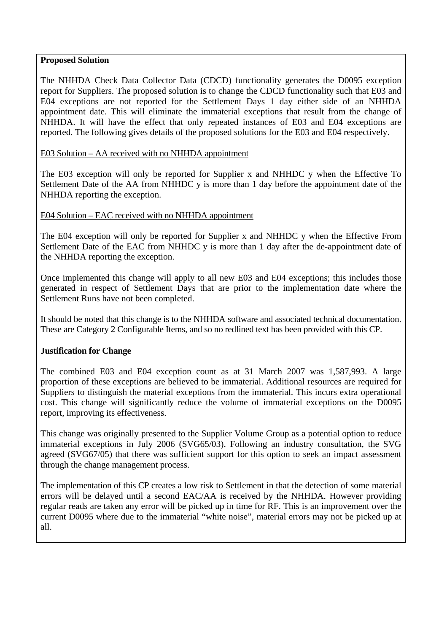#### **Proposed Solution**

The NHHDA Check Data Collector Data (CDCD) functionality generates the D0095 exception report for Suppliers. The proposed solution is to change the CDCD functionality such that E03 and E04 exceptions are not reported for the Settlement Days 1 day either side of an NHHDA appointment date. This will eliminate the immaterial exceptions that result from the change of NHHDA. It will have the effect that only repeated instances of E03 and E04 exceptions are reported. The following gives details of the proposed solutions for the E03 and E04 respectively.

### E03 Solution – AA received with no NHHDA appointment

The E03 exception will only be reported for Supplier x and NHHDC y when the Effective To Settlement Date of the AA from NHHDC y is more than 1 day before the appointment date of the NHHDA reporting the exception.

### E04 Solution – EAC received with no NHHDA appointment

The E04 exception will only be reported for Supplier x and NHHDC y when the Effective From Settlement Date of the EAC from NHHDC y is more than 1 day after the de-appointment date of the NHHDA reporting the exception.

Once implemented this change will apply to all new E03 and E04 exceptions; this includes those generated in respect of Settlement Days that are prior to the implementation date where the Settlement Runs have not been completed.

It should be noted that this change is to the NHHDA software and associated technical documentation. These are Category 2 Configurable Items, and so no redlined text has been provided with this CP.

#### **Justification for Change**

The combined E03 and E04 exception count as at 31 March 2007 was 1,587,993. A large proportion of these exceptions are believed to be immaterial. Additional resources are required for Suppliers to distinguish the material exceptions from the immaterial. This incurs extra operational cost. This change will significantly reduce the volume of immaterial exceptions on the D0095 report, improving its effectiveness.

This change was originally presented to the Supplier Volume Group as a potential option to reduce immaterial exceptions in July 2006 (SVG65/03). Following an industry consultation, the SVG agreed (SVG67/05) that there was sufficient support for this option to seek an impact assessment through the change management process.

The implementation of this CP creates a low risk to Settlement in that the detection of some material errors will be delayed until a second EAC/AA is received by the NHHDA. However providing regular reads are taken any error will be picked up in time for RF. This is an improvement over the current D0095 where due to the immaterial "white noise", material errors may not be picked up at all.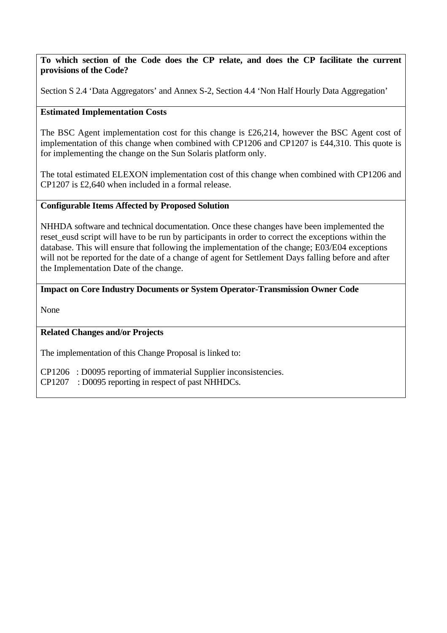**To which section of the Code does the CP relate, and does the CP facilitate the current provisions of the Code?**

Section S 2.4 'Data Aggregators' and Annex S-2, Section 4.4 'Non Half Hourly Data Aggregation'

# **Estimated Implementation Costs**

The BSC Agent implementation cost for this change is £26,214, however the BSC Agent cost of implementation of this change when combined with CP1206 and CP1207 is £44,310. This quote is for implementing the change on the Sun Solaris platform only.

The total estimated ELEXON implementation cost of this change when combined with CP1206 and CP1207 is £2,640 when included in a formal release.

### **Configurable Items Affected by Proposed Solution**

NHHDA software and technical documentation. Once these changes have been implemented the reset eusd script will have to be run by participants in order to correct the exceptions within the database. This will ensure that following the implementation of the change; E03/E04 exceptions will not be reported for the date of a change of agent for Settlement Days falling before and after the Implementation Date of the change.

### **Impact on Core Industry Documents or System Operator-Transmission Owner Code**

None

# **Related Changes and/or Projects**

The implementation of this Change Proposal is linked to:

CP1206 : D0095 reporting of immaterial Supplier inconsistencies.

CP1207 : D0095 reporting in respect of past NHHDCs.